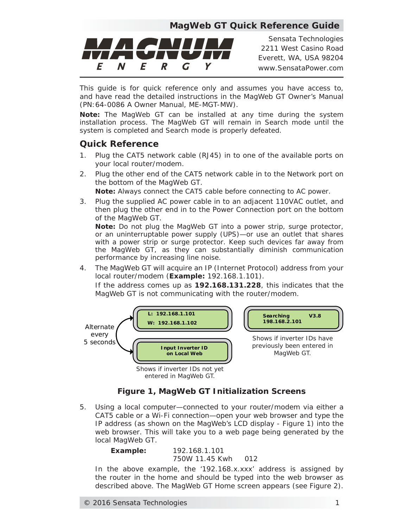## **MagWeb GT Quick Reference Guide**



*Sensata Technologies 2211 West Casino Road Everett, WA, USA 98204 www.SensataPower.com*

This guide is for quick reference only and assumes you have access to, and have read the detailed instructions in the MagWeb GT Owner's Manual (PN:64-0086 A Owner Manual, ME-MGT-MW).

*Note: The MagWeb GT can be installed at any time during the system*  installation process. The MagWeb GT will remain in Search mode until the *system is completed and Search mode is properly defeated.*

## **Quick Reference**

- 1. Plug the CAT5 network cable (RJ45) in to one of the available ports on your local router/modem.
- 2. Plug the other end of the CAT5 network cable in to the Network port on the bottom of the MagWeb GT. *Note: Always connect the CAT5 cable before connecting to AC power.*
- 3. Plug the supplied AC power cable in to an adjacent 110VAC outlet, and then plug the other end in to the Power Connection port on the bottom of the MagWeb GT.

*Note: Do not plug the MagWeb GT into a power strip, surge protector, or an uninterruptable power supply (UPS)—or use an outlet that shares with a power strip or surge protector. Keep such devices far away from the MagWeb GT, as they can substantially diminish communication performance by increasing line noise.*

4. The MagWeb GT will acquire an IP (Internet Protocol) address from your local router/modem (*Example:* 192.168.1.101).

If the address comes up as **192.168.131.228**, this indicates that the MagWeb GT is not communicating with the router/modem.



## *Figure 1, MagWeb GT Initialization Screens*

5. Using a local computer—connected to your router/modem via either a CAT5 cable or a Wi-Fi connection—open your web browser and type the IP address (as shown on the MagWeb's LCD display - Figure 1) into the web browser. This will take you to a web page being generated by the local MagWeb GT.

> *Example:* 192.168.1.101 750W 11.45 Kwh 012

In the above example, the '192.168.x.xxx' address is assigned by the router in the home and should be typed into the web browser as described above. The MagWeb GT Home screen appears (see Figure 2).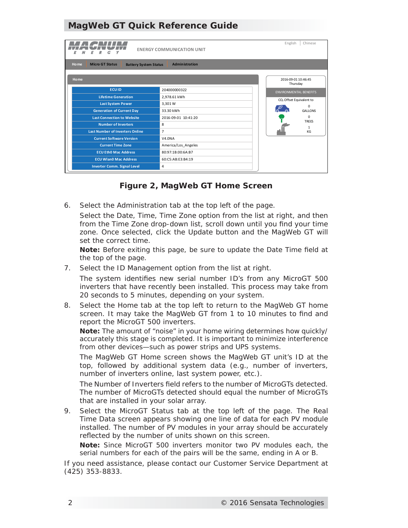# **MagWeb GT Quick Reference Guide**

| Chinese<br>English<br><b>ENERGY COMMUNICATION UNIT</b>                                         |                     |                                 |                                      |  |
|------------------------------------------------------------------------------------------------|---------------------|---------------------------------|--------------------------------------|--|
| <b>Home</b><br><b>Micro GT Status</b><br><b>Administration</b><br><b>Battery System Status</b> |                     |                                 |                                      |  |
| <b>Home</b>                                                                                    |                     | 2016-09-01 10:46:45<br>Thursday |                                      |  |
| <b>ECUID</b>                                                                                   | 204000000322        |                                 | <b>ENVIRONMENTAL BENEFITS</b>        |  |
| <b>Lifetime Generation</b>                                                                     | 2,978.61 kWh        |                                 | CO <sub>2</sub> Offset Equivalent to |  |
| <b>Last System Power</b>                                                                       | 3,301 W             |                                 | $\Omega$                             |  |
| <b>Generation of Current Day</b>                                                               | 33.30 kWh           |                                 | <b>GALLONS</b>                       |  |
| <b>Last Connection to Website</b>                                                              | 2016-09-01 10:41:20 |                                 | $\Omega$<br><b>TREES</b>             |  |
| <b>Number of Inverters</b>                                                                     | 8                   |                                 | $\mathbf{1}$                         |  |
| <b>Last Number of Inverters Online</b>                                                         | $\overline{7}$      |                                 | KG                                   |  |
| <b>Current Software Version</b>                                                                | <b>V4.0NA</b>       |                                 |                                      |  |
| <b>Current Time Zone</b>                                                                       | America/Los Angeles |                                 |                                      |  |
| <b>ECU Eth0 Mac Address</b>                                                                    | 80:97:1B:00:6A:B7   |                                 |                                      |  |
| <b>ECU Wlan0 Mac Address</b>                                                                   | 60:C5:AB:E3:B4:19   |                                 |                                      |  |
| <b>Inverter Comm. Signal Level</b>                                                             | 4                   |                                 |                                      |  |

*Figure 2, MagWeb GT Home Screen*

6. Select the *Administration* tab at the top left of the page.

Select the *Date, Time, Time Zone* option from the list at right, and then from the *Time Zone* drop-down list, scroll down until you find your time zone. Once selected, click the *Update* button and the MagWeb GT will set the correct time.

*Note: Before exiting this page, be sure to update the Date Time field at the top of the page.*

7. Select the *ID Management* option from the list at right.

The system identifies new serial number ID's from any MicroGT 500 inverters that have recently been installed. This process may take from 20 seconds to 5 minutes, depending on your system.

8. Select the *Home* tab at the top left to return to the MagWeb GT home screen. It may take the MagWeb GT from 1 to 10 minutes to find and report the MicroGT 500 inverters.

*Note: The amount of "noise" in your home wiring determines how quickly/ accurately this stage is completed. It is important to minimize interference from other devices—such as power strips and UPS systems.*

The MagWeb GT Home screen shows the MagWeb GT unit's ID at the top, followed by additional system data (e.g., number of inverters, number of inverters online, last system power, etc.).

The *Number of Inverters* field refers to the number of MicroGTs detected. The number of MicroGTs detected should equal the number of MicroGTs that are installed in your solar array.

9. Select the *MicroGT Status* tab at the top left of the page. The Real Time Data screen appears showing one line of data for each PV module installed. The number of PV modules in your array should be accurately reflected by the number of units shown on this screen.

*Note: Since MicroGT 500 inverters monitor two PV modules each, the serial numbers for each of the pairs will be the same, ending in A or B.*

If you need assistance, please contact our Customer Service Department at (425) 353-8833.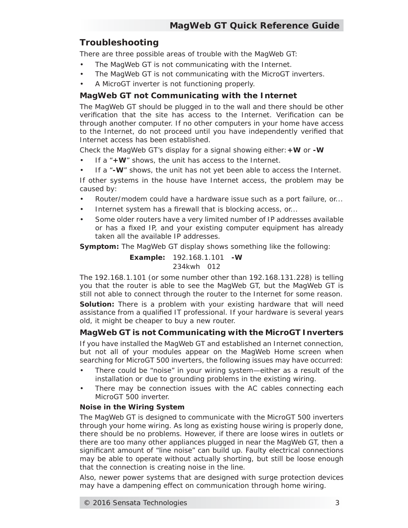# **Troubleshooting**

There are three possible areas of trouble with the MagWeb GT:

- The MagWeb GT is not communicating with the Internet.
- The MagWeb GT is not communicating with the MicroGT inverters.
- A MicroGT inverter is not functioning properly.

### **MagWeb GT not Communicating with the Internet**

The MagWeb GT should be plugged in to the wall and there should be other verification that the site has access to the Internet. Verification can be through another computer. If no other computers in your home have access to the Internet, do not proceed until you have independently verified that Internet access has been established.

Check the MagWeb GT's display for a signal showing either:**+W** or **-W**

- If a "**+W**" shows, the unit has access to the Internet.
- If a "**-W**" shows, the unit has not yet been able to access the Internet.

If other systems in the house have Internet access, the problem may be caused by:

- Router/modem could have a hardware issue such as a port failure, or...
- Internet system has a firewall that is blocking access, or...
- Some older routers have a very limited number of IP addresses available or has a fixed IP, and your existing computer equipment has already taken all the available IP addresses.

*Symptom:* The MagWeb GT display shows something like the following:

*Example:* 192.168.1.101 **-W** 234kwh 012

The 192.168.1.101 (or some number other than 192.168.131.228) is telling you that the router is able to see the MagWeb GT, but the MagWeb GT is still not able to connect through the router to the Internet for some reason.

**Solution:** There is a problem with your existing hardware that will need assistance from a qualified IT professional. If your hardware is several years old, it might be cheaper to buy a new router.

### **MagWeb GT is not Communicating with the MicroGT Inverters**

If you have installed the MagWeb GT and established an Internet connection, but not all of your modules appear on the MagWeb Home screen when searching for MicroGT 500 inverters, the following issues may have occurred:

- There could be "noise" in your wiring system—either as a result of the installation or due to grounding problems in the existing wiring.
- There may be connection issues with the AC cables connecting each MicroGT 500 inverter.

#### **Noise in the Wiring System**

The MagWeb GT is designed to communicate with the MicroGT 500 inverters through your home wiring. As long as existing house wiring is properly done, there should be no problems. However, if there are loose wires in outlets or there are too many other appliances plugged in near the MagWeb GT, then a significant amount of "line noise" can build up. Faulty electrical connections may be able to operate without actually shorting, but still be loose enough that the connection is creating noise in the line.

Also, newer power systems that are designed with surge protection devices may have a dampening effect on communication through home wiring.